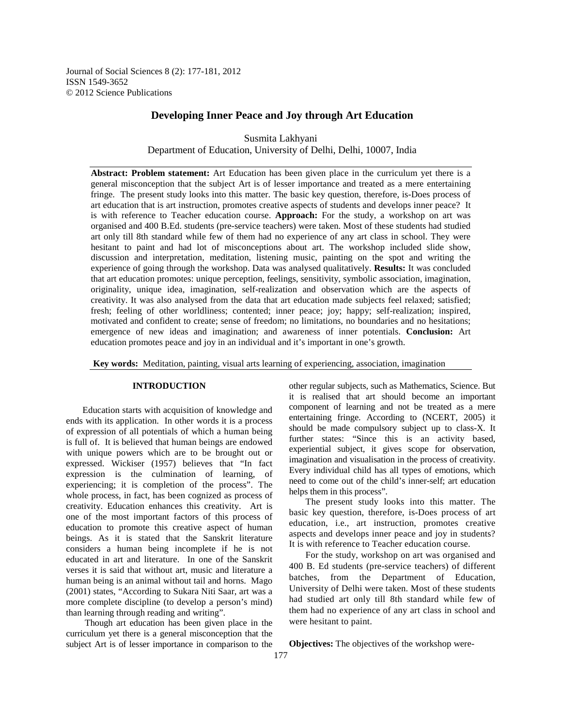Journal of Social Sciences 8 (2): 177-181, 2012 ISSN 1549-3652 © 2012 Science Publications

# **Developing Inner Peace and Joy through Art Education**

Susmita Lakhyani Department of Education, University of Delhi, Delhi, 10007, India

**Abstract: Problem statement:** Art Education has been given place in the curriculum yet there is a general misconception that the subject Art is of lesser importance and treated as a mere entertaining fringe. The present study looks into this matter. The basic key question, therefore, is-Does process of art education that is art instruction, promotes creative aspects of students and develops inner peace? It is with reference to Teacher education course. **Approach:** For the study, a workshop on art was organised and 400 B.Ed. students (pre-service teachers) were taken. Most of these students had studied art only till 8th standard while few of them had no experience of any art class in school. They were hesitant to paint and had lot of misconceptions about art. The workshop included slide show, discussion and interpretation, meditation, listening music, painting on the spot and writing the experience of going through the workshop. Data was analysed qualitatively. **Results:** It was concluded that art education promotes: unique perception, feelings, sensitivity, symbolic association, imagination, originality, unique idea, imagination, self-realization and observation which are the aspects of creativity. It was also analysed from the data that art education made subjects feel relaxed; satisfied; fresh; feeling of other worldliness; contented; inner peace; joy; happy; self-realization; inspired, motivated and confident to create; sense of freedom; no limitations, no boundaries and no hesitations; emergence of new ideas and imagination; and awareness of inner potentials. **Conclusion:** Art education promotes peace and joy in an individual and it's important in one's growth.

**Key words:** Meditation, painting, visual arts learning of experiencing, association, imagination

## **INTRODUCTION**

 Education starts with acquisition of knowledge and ends with its application. In other words it is a process of expression of all potentials of which a human being is full of. It is believed that human beings are endowed with unique powers which are to be brought out or expressed. Wickiser (1957) believes that "In fact expression is the culmination of learning, of experiencing; it is completion of the process". The whole process, in fact, has been cognized as process of creativity. Education enhances this creativity. Art is one of the most important factors of this process of education to promote this creative aspect of human beings. As it is stated that the Sanskrit literature considers a human being incomplete if he is not educated in art and literature. In one of the Sanskrit verses it is said that without art, music and literature a human being is an animal without tail and horns. Mago (2001) states, "According to Sukara Niti Saar, art was a more complete discipline (to develop a person's mind) than learning through reading and writing".

 Though art education has been given place in the curriculum yet there is a general misconception that the subject Art is of lesser importance in comparison to the other regular subjects, such as Mathematics, Science. But it is realised that art should become an important component of learning and not be treated as a mere entertaining fringe. According to (NCERT, 2005) it should be made compulsory subject up to class-X*.* It further states: "Since this is an activity based, experiential subject, it gives scope for observation, imagination and visualisation in the process of creativity. Every individual child has all types of emotions, which need to come out of the child's inner-self; art education helps them in this process".

 The present study looks into this matter. The basic key question, therefore, is-Does process of art education, i.e., art instruction, promotes creative aspects and develops inner peace and joy in students? It is with reference to Teacher education course.

 For the study, workshop on art was organised and 400 B. Ed students (pre-service teachers) of different batches, from the Department of Education, University of Delhi were taken. Most of these students had studied art only till 8th standard while few of them had no experience of any art class in school and were hesitant to paint.

**Objectives:** The objectives of the workshop were-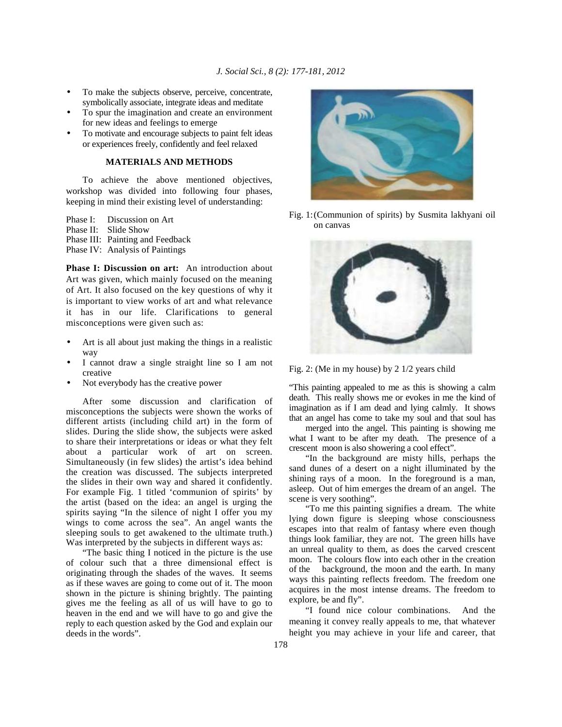- To make the subjects observe, perceive, concentrate, symbolically associate, integrate ideas and meditate
- To spur the imagination and create an environment for new ideas and feelings to emerge
- To motivate and encourage subjects to paint felt ideas or experiences freely, confidently and feel relaxed

### **MATERIALS AND METHODS**

 To achieve the above mentioned objectives, workshop was divided into following four phases, keeping in mind their existing level of understanding:

Phase I: Discussion on Art

- Phase II: Slide Show
- Phase III: Painting and Feedback

Phase IV: Analysis of Paintings

**Phase I: Discussion on art:** An introduction about Art was given, which mainly focused on the meaning of Art. It also focused on the key questions of why it is important to view works of art and what relevance it has in our life. Clarifications to general misconceptions were given such as:

- Art is all about just making the things in a realistic way
- I cannot draw a single straight line so I am not creative
- Not everybody has the creative power

 After some discussion and clarification of misconceptions the subjects were shown the works of different artists (including child art) in the form of slides. During the slide show, the subjects were asked to share their interpretations or ideas or what they felt about a particular work of art on screen. Simultaneously (in few slides) the artist's idea behind the creation was discussed. The subjects interpreted the slides in their own way and shared it confidently. For example Fig. 1 titled 'communion of spirits' by the artist (based on the idea: an angel is urging the spirits saying "In the silence of night I offer you my wings to come across the sea". An angel wants the sleeping souls to get awakened to the ultimate truth.) Was interpreted by the subjects in different ways as:

 "The basic thing I noticed in the picture is the use of colour such that a three dimensional effect is originating through the shades of the waves. It seems as if these waves are going to come out of it. The moon shown in the picture is shining brightly. The painting gives me the feeling as all of us will have to go to heaven in the end and we will have to go and give the reply to each question asked by the God and explain our deeds in the words".



Fig. 1: (Communion of spirits) by Susmita lakhyani oil on canvas





"This painting appealed to me as this is showing a calm death. This really shows me or evokes in me the kind of imagination as if I am dead and lying calmly. It shows that an angel has come to take my soul and that soul has

 merged into the angel. This painting is showing me what I want to be after my death. The presence of a crescent moon is also showering a cool effect".

 "In the background are misty hills, perhaps the sand dunes of a desert on a night illuminated by the shining rays of a moon. In the foreground is a man, asleep. Out of him emerges the dream of an angel. The scene is very soothing".

 "To me this painting signifies a dream. The white lying down figure is sleeping whose consciousness escapes into that realm of fantasy where even though things look familiar, they are not. The green hills have an unreal quality to them, as does the carved crescent moon. The colours flow into each other in the creation of the background, the moon and the earth. In many ways this painting reflects freedom. The freedom one acquires in the most intense dreams. The freedom to explore, be and fly".

 "I found nice colour combinations. And the meaning it convey really appeals to me, that whatever height you may achieve in your life and career, that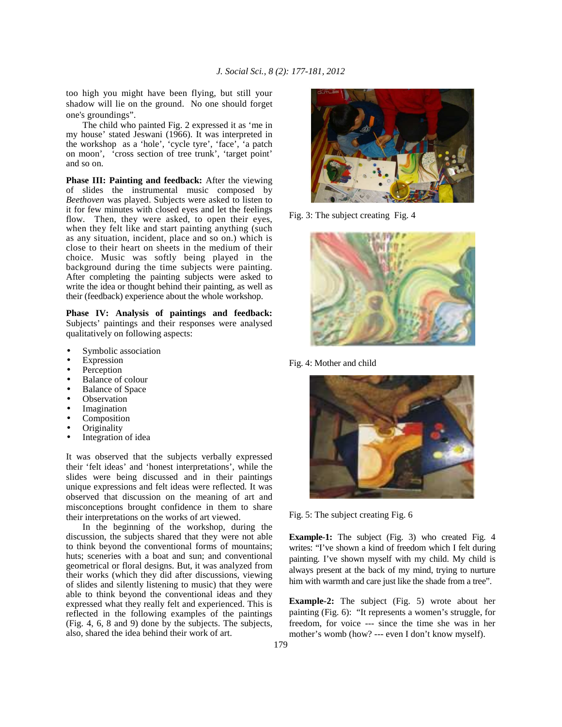too high you might have been flying, but still your shadow will lie on the ground. No one should forget one's groundings".

 The child who painted Fig. 2 expressed it as 'me in my house' stated Jeswani (1966). It was interpreted in the workshop as a 'hole', 'cycle tyre', 'face', 'a patch on moon', 'cross section of tree trunk', 'target point' and so on.

Phase III: Painting and feedback: After the viewing of slides the instrumental music composed by *Beethoven* was played. Subjects were asked to listen to it for few minutes with closed eyes and let the feelings flow. Then, they were asked, to open their eyes, when they felt like and start painting anything (such as any situation, incident, place and so on.) which is close to their heart on sheets in the medium of their choice. Music was softly being played in the background during the time subjects were painting. After completing the painting subjects were asked to write the idea or thought behind their painting, as well as their (feedback) experience about the whole workshop.

**Phase IV: Analysis of paintings and feedback:**  Subjects' paintings and their responses were analysed qualitatively on following aspects:

- Symbolic association
- **Expression**
- **Perception**
- Balance of colour
- Balance of Space
- **Observation**
- **Imagination**
- Composition
- Originality
- Integration of idea

It was observed that the subjects verbally expressed their 'felt ideas' and 'honest interpretations', while the slides were being discussed and in their paintings unique expressions and felt ideas were reflected*.* It was observed that discussion on the meaning of art and misconceptions brought confidence in them to share their interpretations on the works of art viewed.

 In the beginning of the workshop, during the discussion, the subjects shared that they were not able to think beyond the conventional forms of mountains; huts; sceneries with a boat and sun; and conventional geometrical or floral designs. But, it was analyzed from their works (which they did after discussions, viewing of slides and silently listening to music) that they were able to think beyond the conventional ideas and they expressed what they really felt and experienced. This is reflected in the following examples of the paintings (Fig. 4, 6, 8 and 9) done by the subjects. The subjects, also, shared the idea behind their work of art.



Fig. 3: The subject creating Fig. 4



Fig. 4: Mother and child



Fig. 5: The subject creating Fig. 6

**Example-1:** The subject (Fig. 3) who created Fig. 4 writes: "I've shown a kind of freedom which I felt during painting. I've shown myself with my child. My child is always present at the back of my mind, trying to nurture him with warmth and care just like the shade from a tree".

**Example-2:** The subject (Fig. 5) wrote about her painting (Fig. 6): "It represents a women's struggle, for freedom, for voice --- since the time she was in her mother's womb (how? --- even I don't know myself).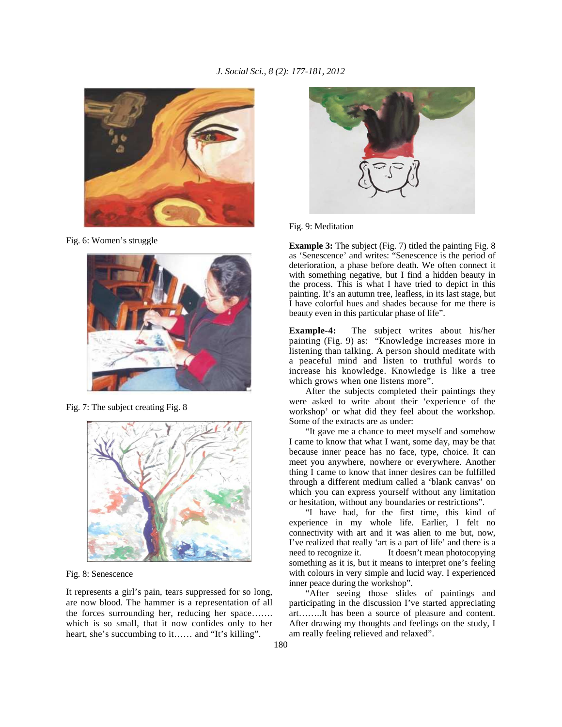

Fig. 6: Women's struggle



Fig. 7: The subject creating Fig. 8



Fig. 8: Senescence

It represents a girl's pain, tears suppressed for so long, are now blood. The hammer is a representation of all the forces surrounding her, reducing her space……. which is so small, that it now confides only to her heart, she's succumbing to it…… and "It's killing".



Fig. 9: Meditation

**Example 3:** The subject (Fig. 7) titled the painting Fig. 8 as 'Senescence' and writes: "Senescence is the period of deterioration, a phase before death. We often connect it with something negative, but I find a hidden beauty in the process. This is what I have tried to depict in this painting. It's an autumn tree, leafless, in its last stage, but I have colorful hues and shades because for me there is beauty even in this particular phase of life".

**Example-4:** The subject writes about his/her painting (Fig. 9) as: "Knowledge increases more in listening than talking. A person should meditate with a peaceful mind and listen to truthful words to increase his knowledge. Knowledge is like a tree which grows when one listens more".

 After the subjects completed their paintings they were asked to write about their 'experience of the workshop' or what did they feel about the workshop*.*  Some of the extracts are as under:

 "It gave me a chance to meet myself and somehow I came to know that what I want, some day, may be that because inner peace has no face, type, choice. It can meet you anywhere, nowhere or everywhere. Another thing I came to know that inner desires can be fulfilled through a different medium called a 'blank canvas' on which you can express yourself without any limitation or hesitation, without any boundaries or restrictions".

 "I have had, for the first time, this kind of experience in my whole life. Earlier, I felt no connectivity with art and it was alien to me but, now, I've realized that really 'art is a part of life' and there is a need to recognize it. It doesn't mean photocopying something as it is, but it means to interpret one's feeling with colours in very simple and lucid way. I experienced inner peace during the workshop".

 "After seeing those slides of paintings and participating in the discussion I've started appreciating art……..It has been a source of pleasure and content. After drawing my thoughts and feelings on the study, I am really feeling relieved and relaxed".